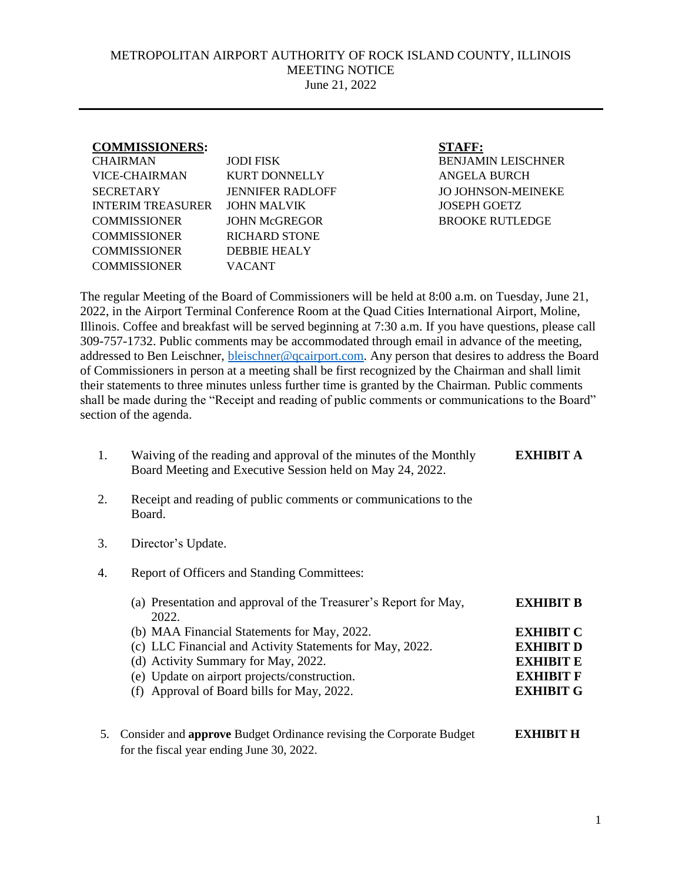## METROPOLITAN AIRPORT AUTHORITY OF ROCK ISLAND COUNTY, ILLINOIS MEETING NOTICE June 21, 2022

| <b>COMMISSIONERS:</b>    |                         | <b>STAFF:</b>             |
|--------------------------|-------------------------|---------------------------|
| <b>CHAIRMAN</b>          | <b>JODI FISK</b>        | <b>BENJAMIN LEISCHNER</b> |
| VICE-CHAIRMAN            | KURT DONNELLY           | <b>ANGELA BURCH</b>       |
| <b>SECRETARY</b>         | <b>JENNIFER RADLOFF</b> | <b>JO JOHNSON-MEINEKE</b> |
| <b>INTERIM TREASURER</b> | JOHN MALVIK             | <b>JOSEPH GOETZ</b>       |
| <b>COMMISSIONER</b>      | <b>JOHN McGREGOR</b>    | <b>BROOKE RUTLEDGE</b>    |
| <b>COMMISSIONER</b>      | <b>RICHARD STONE</b>    |                           |
| <b>COMMISSIONER</b>      | DEBBIE HEALY            |                           |
| <b>COMMISSIONER</b>      | VACANT                  |                           |
|                          |                         |                           |

The regular Meeting of the Board of Commissioners will be held at 8:00 a.m. on Tuesday, June 21, 2022, in the Airport Terminal Conference Room at the Quad Cities International Airport, Moline, Illinois. Coffee and breakfast will be served beginning at 7:30 a.m. If you have questions, please call 309-757-1732. Public comments may be accommodated through email in advance of the meeting, addressed to Ben Leischner, **bleischner@qcairport.com**. Any person that desires to address the Board of Commissioners in person at a meeting shall be first recognized by the Chairman and shall limit their statements to three minutes unless further time is granted by the Chairman. Public comments shall be made during the "Receipt and reading of public comments or communications to the Board" section of the agenda.

- 1. Waiving of the reading and approval of the minutes of the Monthly Board Meeting and Executive Session held on May 24, 2022. **EXHIBIT A**
- 2. Receipt and reading of public comments or communications to the Board.
- 3. Director's Update.
- 4. Report of Officers and Standing Committees:

| (a) Presentation and approval of the Treasurer's Report for May, | <b>EXHIBIT B</b> |
|------------------------------------------------------------------|------------------|
| 2022.                                                            |                  |
| (b) MAA Financial Statements for May, 2022.                      | <b>EXHIBIT C</b> |
| (c) LLC Financial and Activity Statements for May, 2022.         | <b>EXHIBIT D</b> |
| (d) Activity Summary for May, 2022.                              | <b>EXHIBIT E</b> |
| (e) Update on airport projects/construction.                     | <b>EXHIBIT F</b> |
| (f) Approval of Board bills for May, 2022.                       | <b>EXHIBIT G</b> |
|                                                                  |                  |
|                                                                  |                  |

5. Consider and **approve** Budget Ordinance revising the Corporate Budget **EXHIBIT H** for the fiscal year ending June 30, 2022.